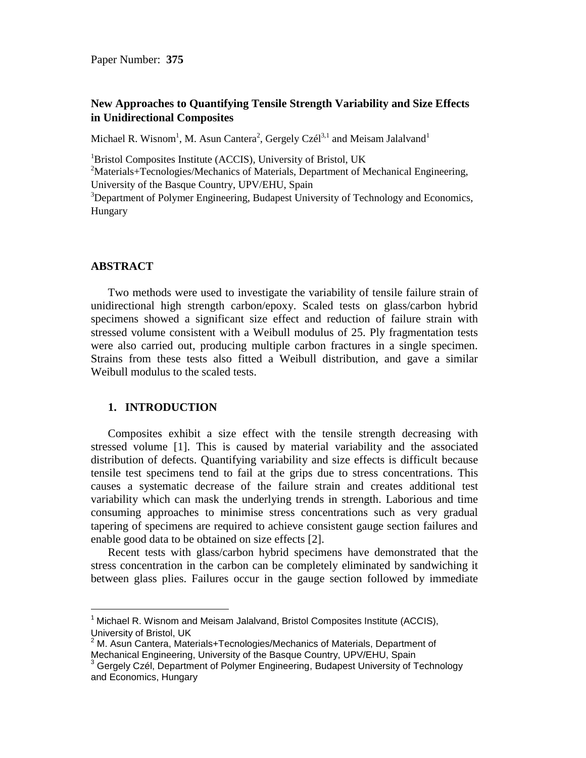# **New Approaches to Quantifying Tensile Strength Variability and Size Effects in Unidirectional Composites**

Michael R. Wisnom<sup>1</sup>, M. Asun Cantera<sup>2</sup>, Gergely Czél<sup>3,1</sup> and Meisam Jalalvand<sup>1</sup>

 ${}^{1}$ Bristol Composites Institute (ACCIS), University of Bristol, UK

<sup>2</sup>Materials+Tecnologies/Mechanics of Materials, Department of Mechanical Engineering, University of the Basque Country, UPV/EHU, Spain

<sup>3</sup>Department of Polymer Engineering, Budapest University of Technology and Economics, Hungary

#### **ABSTRACT**

l

Two methods were used to investigate the variability of tensile failure strain of unidirectional high strength carbon/epoxy. Scaled tests on glass/carbon hybrid specimens showed a significant size effect and reduction of failure strain with stressed volume consistent with a Weibull modulus of 25. Ply fragmentation tests were also carried out, producing multiple carbon fractures in a single specimen. Strains from these tests also fitted a Weibull distribution, and gave a similar Weibull modulus to the scaled tests.

### **1. INTRODUCTION**

Composites exhibit a size effect with the tensile strength decreasing with stressed volume [1]. This is caused by material variability and the associated distribution of defects. Quantifying variability and size effects is difficult because tensile test specimens tend to fail at the grips due to stress concentrations. This causes a systematic decrease of the failure strain and creates additional test variability which can mask the underlying trends in strength. Laborious and time consuming approaches to minimise stress concentrations such as very gradual tapering of specimens are required to achieve consistent gauge section failures and enable good data to be obtained on size effects [2].

Recent tests with glass/carbon hybrid specimens have demonstrated that the stress concentration in the carbon can be completely eliminated by sandwiching it between glass plies. Failures occur in the gauge section followed by immediate

 $1$  Michael R. Wisnom and Meisam Jalalvand, Bristol Composites Institute (ACCIS), University of Bristol, UK

 $2$  M. Asun Cantera, Materials+Tecnologies/Mechanics of Materials, Department of Mechanical Engineering, University of the Basque Country, UPV/EHU, Spain

 $3$  Gergely Czél, Department of Polymer Engineering, Budapest University of Technology and Economics, Hungary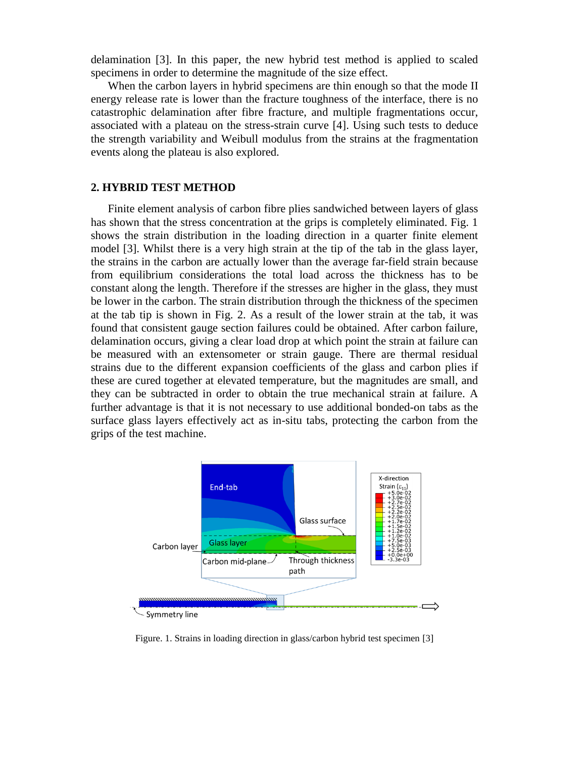delamination [3]. In this paper, the new hybrid test method is applied to scaled specimens in order to determine the magnitude of the size effect.

When the carbon layers in hybrid specimens are thin enough so that the mode II energy release rate is lower than the fracture toughness of the interface, there is no catastrophic delamination after fibre fracture, and multiple fragmentations occur, associated with a plateau on the stress-strain curve [4]. Using such tests to deduce the strength variability and Weibull modulus from the strains at the fragmentation events along the plateau is also explored.

## **2. HYBRID TEST METHOD**

Finite element analysis of carbon fibre plies sandwiched between layers of glass has shown that the stress concentration at the grips is completely eliminated. Fig. 1 shows the strain distribution in the loading direction in a quarter finite element model [3]. Whilst there is a very high strain at the tip of the tab in the glass layer, the strains in the carbon are actually lower than the average far-field strain because from equilibrium considerations the total load across the thickness has to be constant along the length. Therefore if the stresses are higher in the glass, they must be lower in the carbon. The strain distribution through the thickness of the specimen at the tab tip is shown in Fig. 2. As a result of the lower strain at the tab, it was found that consistent gauge section failures could be obtained. After carbon failure, delamination occurs, giving a clear load drop at which point the strain at failure can be measured with an extensometer or strain gauge. There are thermal residual strains due to the different expansion coefficients of the glass and carbon plies if these are cured together at elevated temperature, but the magnitudes are small, and they can be subtracted in order to obtain the true mechanical strain at failure. A further advantage is that it is not necessary to use additional bonded-on tabs as the surface glass layers effectively act as in-situ tabs, protecting the carbon from the grips of the test machine.



Figure. 1. Strains in loading direction in glass/carbon hybrid test specimen [3]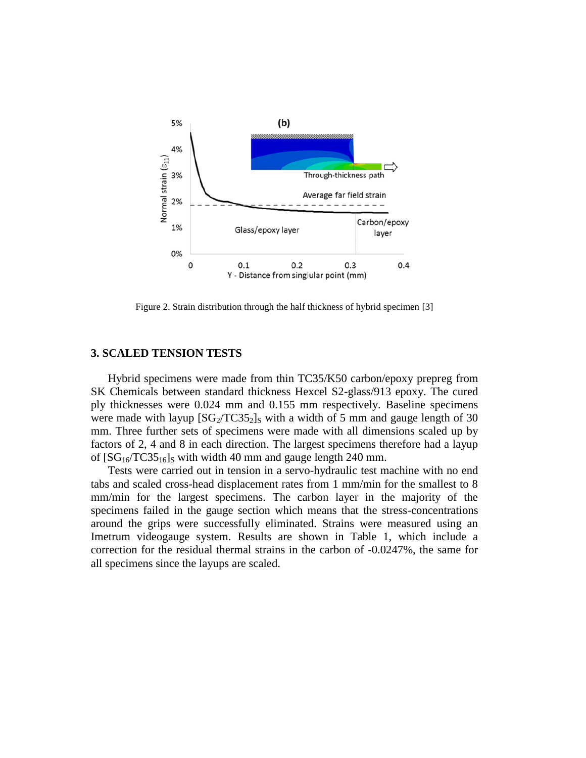

Figure 2. Strain distribution through the half thickness of hybrid specimen [3]

## **3. SCALED TENSION TESTS**

Hybrid specimens were made from thin TC35/K50 carbon/epoxy prepreg from SK Chemicals between standard thickness Hexcel S2-glass/913 epoxy. The cured ply thicknesses were 0.024 mm and 0.155 mm respectively. Baseline specimens were made with layup  $[SG_2/TC35_2]_S$  with a width of 5 mm and gauge length of 30 mm. Three further sets of specimens were made with all dimensions scaled up by factors of 2, 4 and 8 in each direction. The largest specimens therefore had a layup of  $[SG_{16}/TC35_{16}]_S$  with width 40 mm and gauge length 240 mm.

Tests were carried out in tension in a servo-hydraulic test machine with no end tabs and scaled cross-head displacement rates from 1 mm/min for the smallest to 8 mm/min for the largest specimens. The carbon layer in the majority of the specimens failed in the gauge section which means that the stress-concentrations around the grips were successfully eliminated. Strains were measured using an Imetrum videogauge system. Results are shown in Table 1, which include a correction for the residual thermal strains in the carbon of -0.0247%, the same for all specimens since the layups are scaled.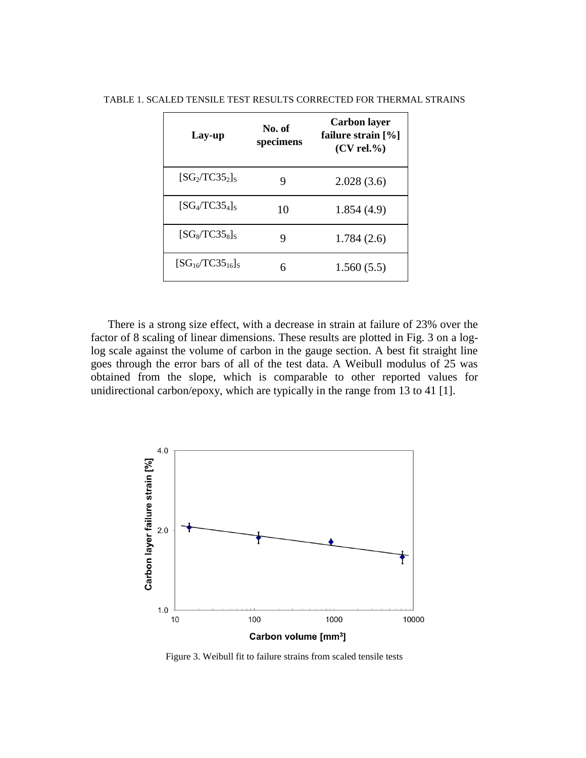| Lay-up                  | No. of<br>specimens | <b>Carbon layer</b><br>failure strain $[\%]$<br>$(CV$ rel.%) |
|-------------------------|---------------------|--------------------------------------------------------------|
| $[SG_2/TC35_2]_S$       | 9                   | 2.028(3.6)                                                   |
| $[SG_4/TC35_4]_S$       | 10                  | 1.854(4.9)                                                   |
| $[SG_8/TC35_8]_S$       | q                   | 1.784(2.6)                                                   |
| $[SG_{16}/TC35_{16}]_S$ | 6                   | 1.560(5.5)                                                   |

TABLE 1. SCALED TENSILE TEST RESULTS CORRECTED FOR THERMAL STRAINS

There is a strong size effect, with a decrease in strain at failure of 23% over the factor of 8 scaling of linear dimensions. These results are plotted in Fig. 3 on a loglog scale against the volume of carbon in the gauge section. A best fit straight line goes through the error bars of all of the test data. A Weibull modulus of 25 was obtained from the slope, which is comparable to other reported values for unidirectional carbon/epoxy, which are typically in the range from 13 to 41 [1].



Figure 3. Weibull fit to failure strains from scaled tensile tests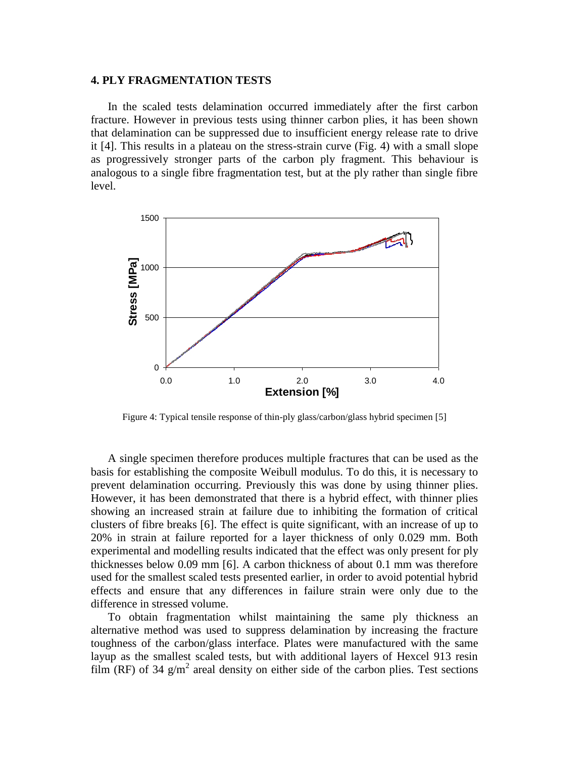## **4. PLY FRAGMENTATION TESTS**

In the scaled tests delamination occurred immediately after the first carbon fracture. However in previous tests using thinner carbon plies, it has been shown that delamination can be suppressed due to insufficient energy release rate to drive it [4]. This results in a plateau on the stress-strain curve (Fig. 4) with a small slope as progressively stronger parts of the carbon ply fragment. This behaviour is analogous to a single fibre fragmentation test, but at the ply rather than single fibre level.



Figure 4: Typical tensile response of thin-ply glass/carbon/glass hybrid specimen [5]

A single specimen therefore produces multiple fractures that can be used as the basis for establishing the composite Weibull modulus. To do this, it is necessary to prevent delamination occurring. Previously this was done by using thinner plies. However, it has been demonstrated that there is a hybrid effect, with thinner plies showing an increased strain at failure due to inhibiting the formation of critical clusters of fibre breaks [6]. The effect is quite significant, with an increase of up to 20% in strain at failure reported for a layer thickness of only 0.029 mm. Both experimental and modelling results indicated that the effect was only present for ply thicknesses below 0.09 mm [6]. A carbon thickness of about 0.1 mm was therefore used for the smallest scaled tests presented earlier, in order to avoid potential hybrid effects and ensure that any differences in failure strain were only due to the difference in stressed volume.

To obtain fragmentation whilst maintaining the same ply thickness an alternative method was used to suppress delamination by increasing the fracture toughness of the carbon/glass interface. Plates were manufactured with the same layup as the smallest scaled tests, but with additional layers of Hexcel 913 resin film (RF) of 34  $g/m^2$  areal density on either side of the carbon plies. Test sections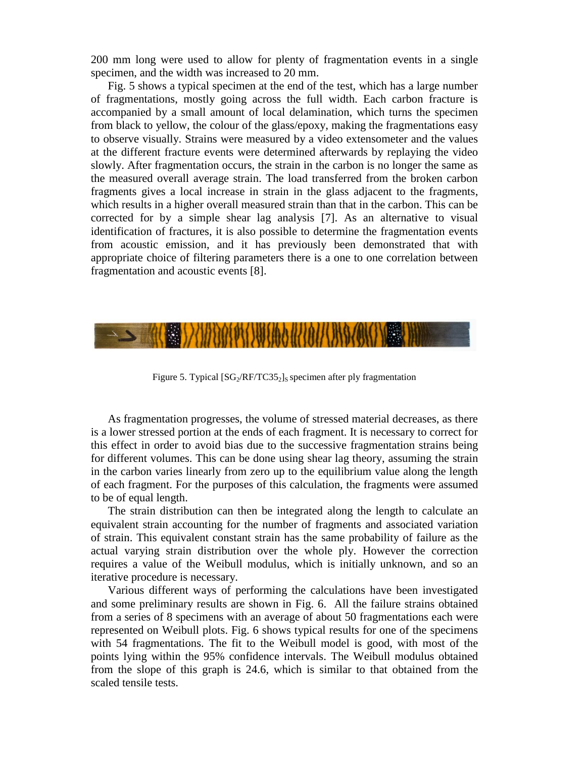200 mm long were used to allow for plenty of fragmentation events in a single specimen, and the width was increased to 20 mm.

Fig. 5 shows a typical specimen at the end of the test, which has a large number of fragmentations, mostly going across the full width. Each carbon fracture is accompanied by a small amount of local delamination, which turns the specimen from black to yellow, the colour of the glass/epoxy, making the fragmentations easy to observe visually. Strains were measured by a video extensometer and the values at the different fracture events were determined afterwards by replaying the video slowly. After fragmentation occurs, the strain in the carbon is no longer the same as the measured overall average strain. The load transferred from the broken carbon fragments gives a local increase in strain in the glass adjacent to the fragments, which results in a higher overall measured strain than that in the carbon. This can be corrected for by a simple shear lag analysis [7]. As an alternative to visual identification of fractures, it is also possible to determine the fragmentation events from acoustic emission, and it has previously been demonstrated that with appropriate choice of filtering parameters there is a one to one correlation between fragmentation and acoustic events [8].



Figure 5. Typical  $[SG_2/RF/TC35_2]_S$  specimen after ply fragmentation

As fragmentation progresses, the volume of stressed material decreases, as there is a lower stressed portion at the ends of each fragment. It is necessary to correct for this effect in order to avoid bias due to the successive fragmentation strains being for different volumes. This can be done using shear lag theory, assuming the strain in the carbon varies linearly from zero up to the equilibrium value along the length of each fragment. For the purposes of this calculation, the fragments were assumed to be of equal length.

The strain distribution can then be integrated along the length to calculate an equivalent strain accounting for the number of fragments and associated variation of strain. This equivalent constant strain has the same probability of failure as the actual varying strain distribution over the whole ply. However the correction requires a value of the Weibull modulus, which is initially unknown, and so an iterative procedure is necessary.

Various different ways of performing the calculations have been investigated and some preliminary results are shown in Fig. 6. All the failure strains obtained from a series of 8 specimens with an average of about 50 fragmentations each were represented on Weibull plots. Fig. 6 shows typical results for one of the specimens with 54 fragmentations. The fit to the Weibull model is good, with most of the points lying within the 95% confidence intervals. The Weibull modulus obtained from the slope of this graph is 24.6, which is similar to that obtained from the scaled tensile tests.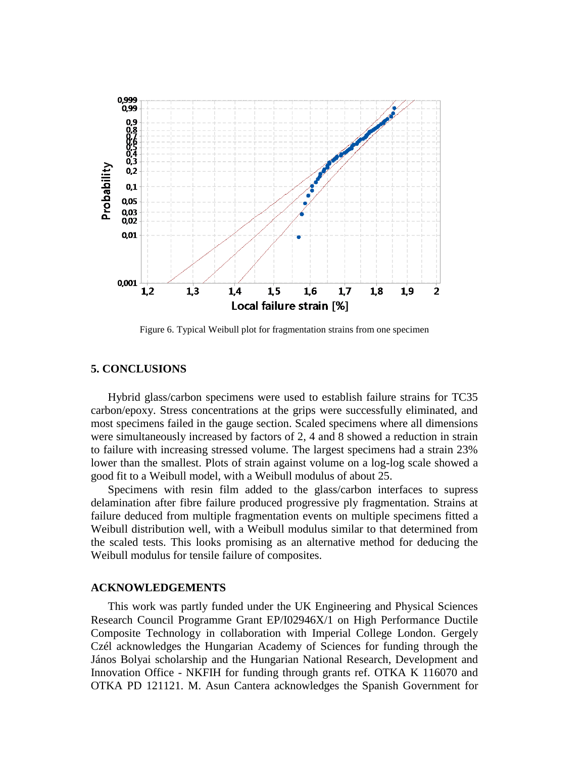

Figure 6. Typical Weibull plot for fragmentation strains from one specimen

#### **5. CONCLUSIONS**

Hybrid glass/carbon specimens were used to establish failure strains for TC35 carbon/epoxy. Stress concentrations at the grips were successfully eliminated, and most specimens failed in the gauge section. Scaled specimens where all dimensions were simultaneously increased by factors of 2, 4 and 8 showed a reduction in strain to failure with increasing stressed volume. The largest specimens had a strain 23% lower than the smallest. Plots of strain against volume on a log-log scale showed a good fit to a Weibull model, with a Weibull modulus of about 25.

Specimens with resin film added to the glass/carbon interfaces to supress delamination after fibre failure produced progressive ply fragmentation. Strains at failure deduced from multiple fragmentation events on multiple specimens fitted a Weibull distribution well, with a Weibull modulus similar to that determined from the scaled tests. This looks promising as an alternative method for deducing the Weibull modulus for tensile failure of composites.

#### **ACKNOWLEDGEMENTS**

This work was partly funded under the UK Engineering and Physical Sciences Research Council Programme Grant EP/I02946X/1 on High Performance Ductile Composite Technology in collaboration with Imperial College London. Gergely Czél acknowledges the Hungarian Academy of Sciences for funding through the János Bolyai scholarship and the Hungarian National Research, Development and Innovation Office - NKFIH for funding through grants ref. OTKA K 116070 and OTKA PD 121121. M. Asun Cantera acknowledges the Spanish Government for